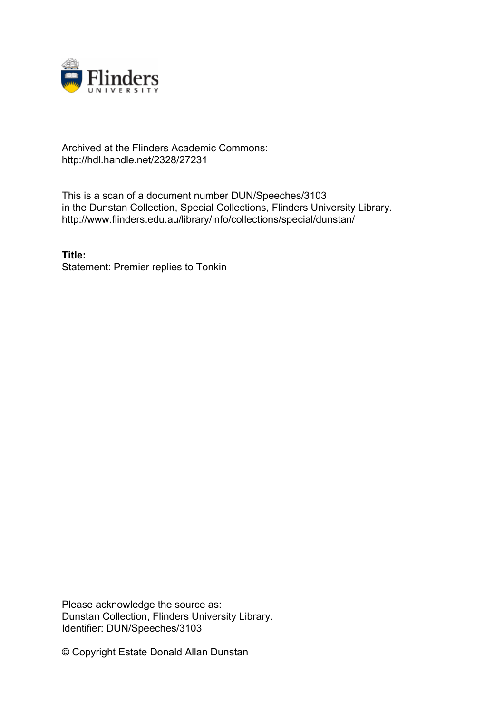

## Archived at the Flinders Academic Commons: http://hdl.handle.net/2328/27231

This is a scan of a document number DUN/Speeches/3103 in the Dunstan Collection, Special Collections, Flinders University Library. http://www.flinders.edu.au/library/info/collections/special/dunstan/

**Title:** Statement: Premier replies to Tonkin

Please acknowledge the source as: Dunstan Collection, Flinders University Library. Identifier: DUN/Speeches/3103

© Copyright Estate Donald Allan Dunstan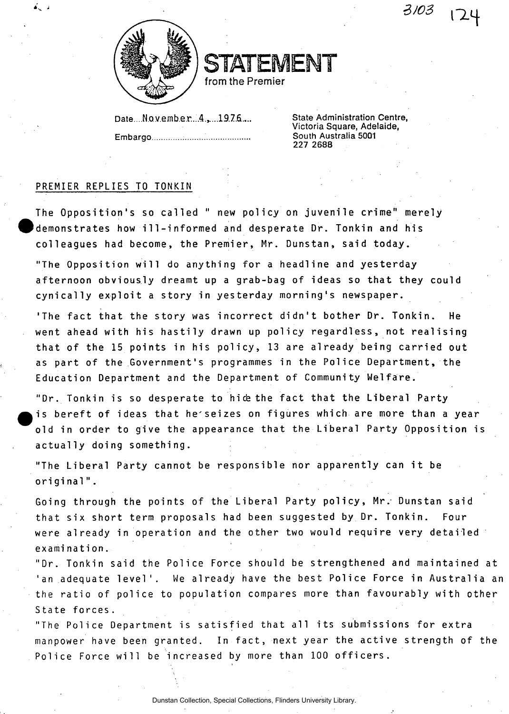$3/03$  $\cdot - 1$ 



STATEMENT

from the Premier

Date ...No v ember...4.....1976.... State Administration Centre, **Embargo .... South Australia 5001** 

**Victoria Square, Adelaide, 227 2688** 

## PREMIER REPLIES TO TONKIN

The Opposition's so called " new policy on juvenile crime" merely demonstrates how ill-informed and desperate Dr. Tonkin and his colleagues had become, the Premier, Mr. Dunstan, said today.

"The Opposition will do anything for a headline and yesterday afternoon obviously dreamt up a grab-bag of ideas so that they could cynically exploit a story in yesterday morning's newspaper.

'The fact that the story was incorrect didn't bother Dr. Tonkin. He went ahead with his hastily drawn up policy regardless, not realising that of the 15 points in his policy, 13 are already being carried out as part of the Government's programmes in the Police Department, the Education Department and the Department of Community Welfare.

"Dr. Tonkin is so desperate to hice the fact that the Liberal Party is bereft of ideas that he'seizes on figures which are more than a year old in order to give the appearance that the Liberal Party Opposition is actually doing something.

"The Liberal Party cannot be responsible nor apparently can it be original".

Going through the points of the Liberal Party policy, Mr. Dunstan said that six short term proposals had been suggested by Dr. Tonkin. Four were already in operation and the other two would require very detailed examination .

"Dr. Tonkin said the Police Force should be strengthened and maintained at 'an adequate level'. We already have the best Police Force in Australia an the ratio of police to population compares more than favourably with other State forces.

"The Police Department is satisfied that all its submissions for extra manpower have been granted. In fact, next year the active strength of the Police Force will be increased by more than 100 officers.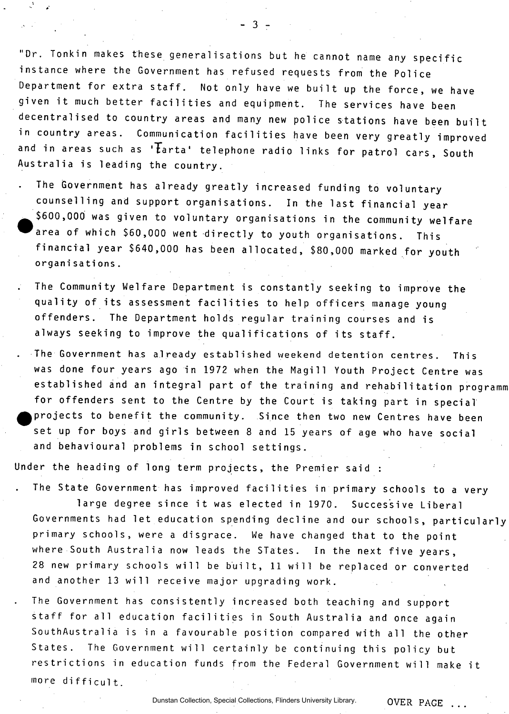"Dr. Tonkin makes these generalisations but he cannot name any specific instance where the Government has refused requests from the Police Department for extra staff. Not only have we built up the force, we have given it much better facilities and equipment. The services have been decentralised to country areas and many new police stations have been built in country areas. Communication facilities have been very greatly improved and in areas such as ' $\mathcal{F}_{\text{a} r}$  telephone radio links for patrol cars, South Australia is leading the country.

 $-3 -$ 

The Government has already greatly increased funding to voluntary counselling and support organisations. In the last financial year \$600,000 was given to voluntary organisations in the community welfare area of which \$60,000 went directly to youth organisations. This financial year \$640,000 has been allocated, \$80,000 marked for youth organisations .

- The Community Welfare Department is constantly seeking to improve the quality of its assessment facilities to help officers manage young offenders. The Department holds regular training courses and is always seeking to improve the qualifications of its staff.
- . The Government has already established weekend detention centres. This was done four years ago in 1972 when the Magill Youth Project Centre was established and an integral part of the training and rehabilitation programm for offenders sent to the Centre by the Court is taking part in special projects to benefit the community. Since then two new Centres have been set up for boys and girls between 8 and 15 years of age who have social and behavioural problems in school settings.

Under the heading of long term projects, the Premier said :

The State Government has improved facilities in primary schools to a very

large degree since it was elected in 1970. Successive Liberal Governments had let education spending decline and our schools, particularly primary schools, were a disgrace. We have changed that to the point where South Australia now leads the STates. In the next five years, 28 new primary schools will be built, 11 will be replaced or converted and another 13 will receive major upgrading work.

The Government has consistently increased both teaching and support staff for all education facilities in South Australia and once again SouthAustralia is in a favourable position compared with all the other States. The Government will certainly be continuing this policy but restrictions in education funds from the Federal Government will make it more difficult.

Dunstan Collection, Special Collections, Flinders University Library.

OVER PAGE ...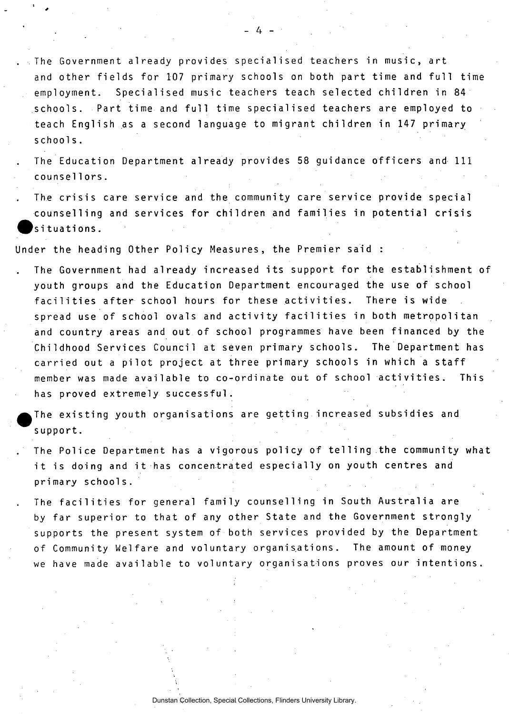. The Government already provides specialised teachers in music, art and other fields for 107 primary schools on both part time and full time employment. Specialised music teachers teach selected children in 84 schools. Part time and full time specialised teachers are employed to teach English as a second language to migrant children in 147 primary schools .

The Education Department already provides 58 guidance officers and 111 counsel 1ors .

The crisis care service and the community care service provide special counselling and services for children and families in potential crisis situations.

Under the heading Other Policy Measures, the Premier said :

The Government had already increased its support for the establishment of youth groups and the Education Department encouraged the use of school facilities after school hours for these activities. There is wide spread use of school ovals and activity facilities in both metropolitan and country areas and out of school programmes have been financed by the Childhood Services Council at seven primary schools. The Department has carried out a pilot project at three primary schools in which a staff member was made available to co-ordinate out of school activities. This has proved extremely successful.

The existing youth organisations are getting increased subsidies and support .

The Police Department has a vigorous policy of telling the community what it is doing and it has concentrated especially on youth centres and primary schools.

The facilities for general family counselling in South Australia are by far superior to that of any other State and the Government strongly supports the present system of both services provided by the Department of Community Welfare and voluntary organisations. The amount of money we have made available to voluntary organisations proves our intentions.

- 4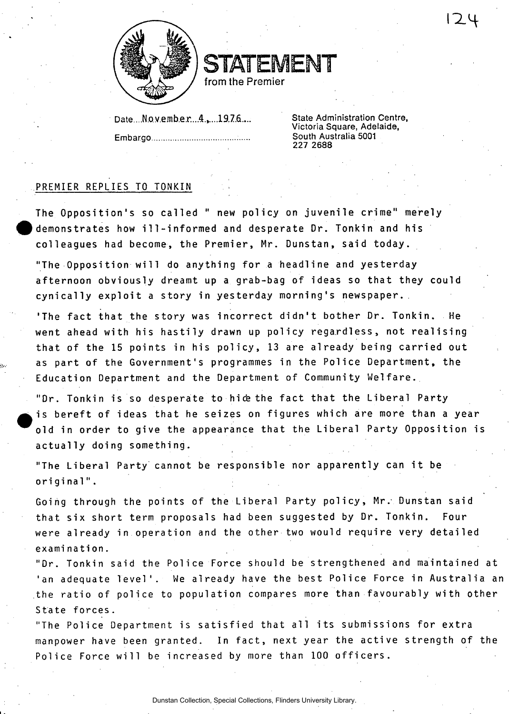

STATEMENT from the Premier

Date....No.v.emb.e.r...4.,....1976....<sup>2</sup> State Administration Centre, **Embargo .....................** 

**Victoria Square, Adelaide, 227 2688** 

## PREMIER REPLIES TO TONKIN

The Opposition's so called " new policy on juvenile crime" merely demonstrates how ill-informed and desperate Dr. Tonkin and his colleagues had become, the Premier, Mr. Dunstan, said today.

"The Opposition will do anything for a headline and yesterday afternoon obviously dreamt up a grab-bag of ideas so that they could cynically exploit a story in yesterday morning's newspaper.

'The fact that the story was incorrect didn't bother Dr. Tonkin. He went ahead with his hastily drawn up policy regardless, not realising that of the 15 points in his policy, 13 are already being carried out as part of the Government's programmes in the Police Department, the Education Department and the Department of Community Welfare.

"Dr. Tonkin is so desperate to hice the fact that the Liberal Party is bereft of ideas that he seizes on figures which are more than a year old in order to give the appearance that the Liberal Party Opposition is actually doing something.

"The Liberal Party cannot be responsible nor apparently can it be original" .

Going through the points of the Liberal Party policy, Mr. Dunstan said that six short term proposals had been suggested by Dr. Tonkin. Four were already in operation and the other two would require very detailed examination .

"Dr. Tonkin said the Police Force should be strengthened and maintained at 'an adequate level'. We already have the best Police Force in Australia an the ratio of police to population compares more than favourably with other State forces.

"The Police Department is satisfied that all its submissions for extra manpower have been granted. In fact, next year the active strength of the Police Force will be increased by more than 100 officers.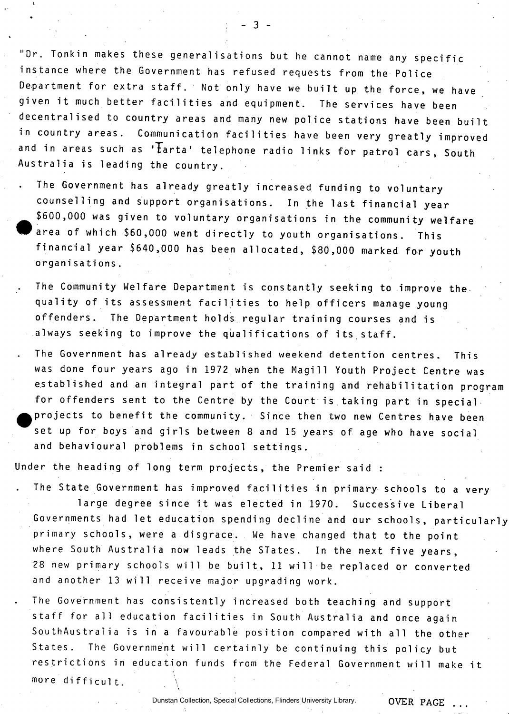"Dr. Tonkin makes these generalisations but he cannot name any specific instance where the Government has refused requests from the Police Department for extra staff. Not only have we built up the force, we have given it much better facilities and equipment. The services have been decentralised to country areas and many new police stations have been built in country areas. Communication facilities have been very greatly improved and in areas such as ' $\overline{t}$ arta' telephone radio links for patrol cars, South Australia is leading the country.

The Government has already greatly increased funding to voluntary counselling and support organisations. In the last financial year \$600,000 was given to voluntary organisations in the community welfare area of which \$60,000 went directly to youth organisations. This financial year \$640,000 has been allocated, \$80,000 marked for youth organisations .

The Community Welfare Department is constantly seeking to improve the quality of its assessment facilities to help officers manage young offenders. The Department holds regular training courses and is always seeking to improve the qualifications of its staff.

The Government has already established weekend detention centres. This was done four years ago in 1972 when the Magill Youth Project Centre was established and an integral part of the training and rehabilitation program for offenders sent to the Centre by the Court is taking part in special. projects to benefit the community. Since then two new Centres have been set up for boys and girls between 8 and 15 years of age who have social and behavioural problems in school settings.

Under the heading of long term projects, the Premier said :

The State Government has improved facilities in primary schools to a very large degree since it was elected in 1970. Successive Liberal Governments had let education spending decline and our schools, particularly primary schools, were a disgrace. We have changed that to the point where South Australia now leads the STates. In the next five years, 28 new primary schools will be built, 11 will be replaced or converted and another 13 will receive major upgrading work.

The Government has consistently increased both teaching and support staff for all education facilities in South Australia and once again SouthAustralia is in a favourable position compared with all the other States. The Government will certainly be continuing this policy but restrictions in education funds from the Federal Government will make it more difficult.

Dunstan Collection, Special Collections, Flinders University Library.

 $-3-$ 

OVER PAGE